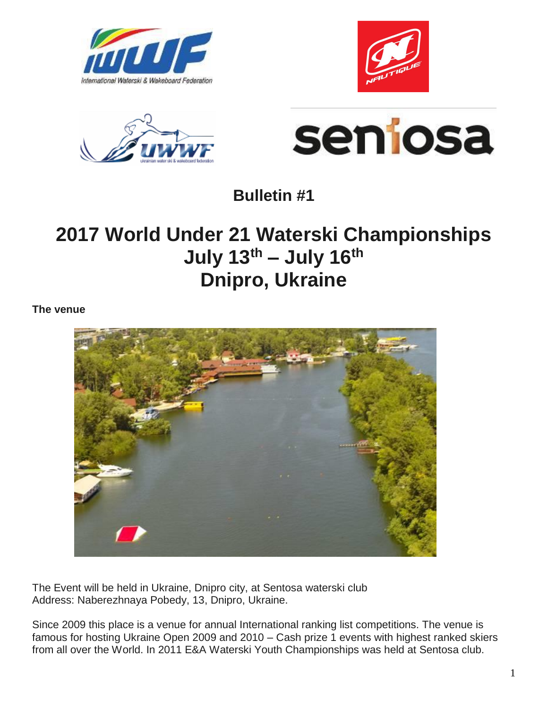







**Bulletin #1**

# **2017 World Under 21 Waterski Championships July 13th – July 16th Dnipro, Ukraine**

**The venue**



The Event will be held in Ukraine, Dnipro city, at Sentosa waterski club Address: Naberezhnaya Pobedy, 13, Dnipro, Ukraine.

Since 2009 this place is a venue for annual International ranking list competitions. The venue is famous for hosting Ukraine Open 2009 and 2010 – Cash prize 1 events with highest ranked skiers from all over the World. In 2011 E&A Waterski Youth Championships was held at Sentosa club.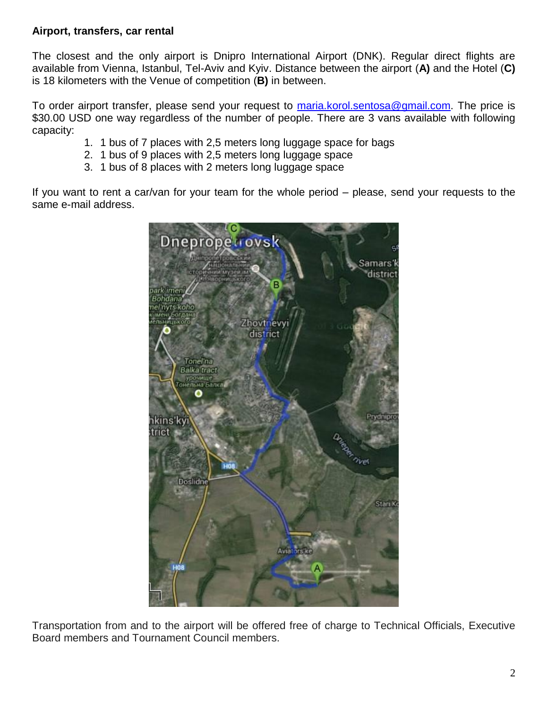#### **Airport, transfers, car rental**

The closest and the only airport is Dnipro International Airport (DNK). Regular direct flights are available from Vienna, Istanbul, Tel-Aviv and Kyiv. Distance between the airport (**A)** and the Hotel (**C)** is 18 kilometers with the Venue of competition (**B)** in between.

To order airport transfer, please send your request to [maria.korol.sentosa@gmail.com.](mailto:maria.korol.sentosa@gmail.com) The price is \$30.00 USD one way regardless of the number of people. There are 3 vans available with following capacity:

- 1. 1 bus of 7 places with 2,5 meters long luggage space for bags
- 2. 1 bus of 9 places with 2,5 meters long luggage space
- 3. 1 bus of 8 places with 2 meters long luggage space

If you want to rent a car/van for your team for the whole period – please, send your requests to the same e-mail address.



Transportation from and to the airport will be offered free of charge to Technical Officials, Executive Board members and Tournament Council members.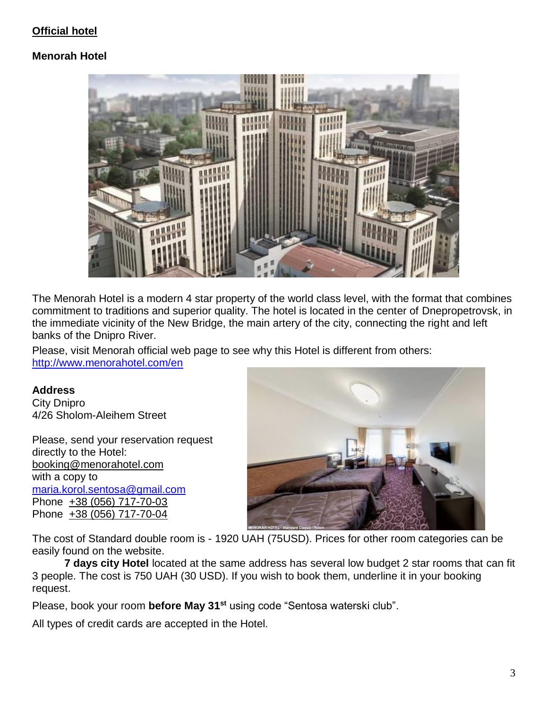## **Official hotel**

## **Menorah Hotel**



The Menorah Hotel is a modern 4 star property of the world class level, with the format that combines commitment to traditions and superior quality. The hotel is located in the center of Dnepropetrovsk, in the immediate vicinity of the New Bridge, the main artery of the city, connecting the right and left banks of the Dnipro River.

Please, visit Menorah official web page to see why this Hotel is different from others: <http://www.menorahotel.com/en>

#### **Address**

City Dnipro 4/26 Sholom-Aleihem Street

Please, send your reservation request directly to the Hotel: [booking@menorahotel.com](mailto:booking@menorahotel.com) with a copy to [maria.korol.sentosa@gmail.com](mailto:maria.korol.sentosa@gmail.com) Phone [+38 \(056\) 717-70-03](tel:%2B38%20%28056%29%20717-70-03) Phone [+38 \(056\) 717-70-04](tel:%2B38%20%28056%29%20717-70-04)



The cost of Standard double room is - 1920 UAH (75USD). Prices for other room categories can be easily found on the website.

**7 days city Hotel** located at the same address has several low budget 2 star rooms that can fit 3 people. The cost is 750 UAH (30 USD). If you wish to book them, underline it in your booking request.

Please, book your room **before May 31st** using code "Sentosa waterski club".

All types of credit cards are accepted in the Hotel.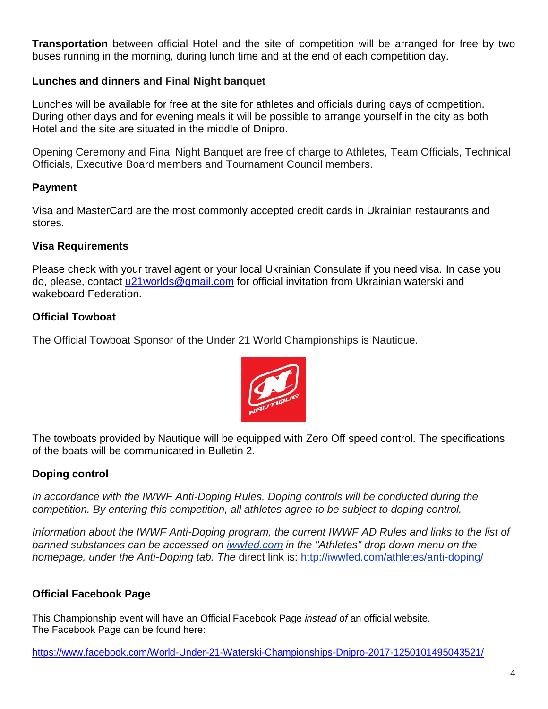**Transportation** between official Hotel and the site of competition will be arranged for free by two buses running in the morning, during lunch time and at the end of each competition day.

#### **Lunches and dinners and Final Night banquet**

Lunches will be available for free at the site for athletes and officials during days of competition. During other days and for evening meals it will be possible to arrange yourself in the city as both Hotel and the site are situated in the middle of Dnipro.

Opening Ceremony and Final Night Banquet are free of charge to Athletes, Team Officials, Technical Officials, Executive Board members and Tournament Council members.

#### **Payment**

Visa and MasterCard are the most commonly accepted credit cards in Ukrainian restaurants and stores.

#### **Visa Requirements**

Please check with your travel agent or your local Ukrainian Consulate if you need visa. In case you do, please, contact [u21worlds@gmail.com](mailto:u21worlds@gmail.com) for official invitation from Ukrainian waterski and wakeboard Federation.

### **Official Towboat**

The Official Towboat Sponsor of the Under 21 World Championships is Nautique.



The towboats provided by Nautique will be equipped with Zero Off speed control. The specifications of the boats will be communicated in Bulletin 2.

### **Doping control**

In accordance with the IWWF Anti-Doping Rules, Doping controls will be conducted during the *competition. By entering this competition, all athletes agree to be subject to doping control.*

Information about the IWWF Anti-Doping program, the current IWWF AD Rules and links to the list of *banned substances can be accessed on [iwwfed.com](http://www.iwwfed.com/) in the "Athletes" drop down menu on the homepage, under the Anti-Doping tab. The* direct link is:<http://iwwfed.com/athletes/anti-doping/>

## **Official Facebook Page**

This Championship event will have an Official Facebook Page *instead of* an official website. The Facebook Page can be found here:

<https://www.facebook.com/World-Under-21-Waterski-Championships-Dnipro-2017-1250101495043521/>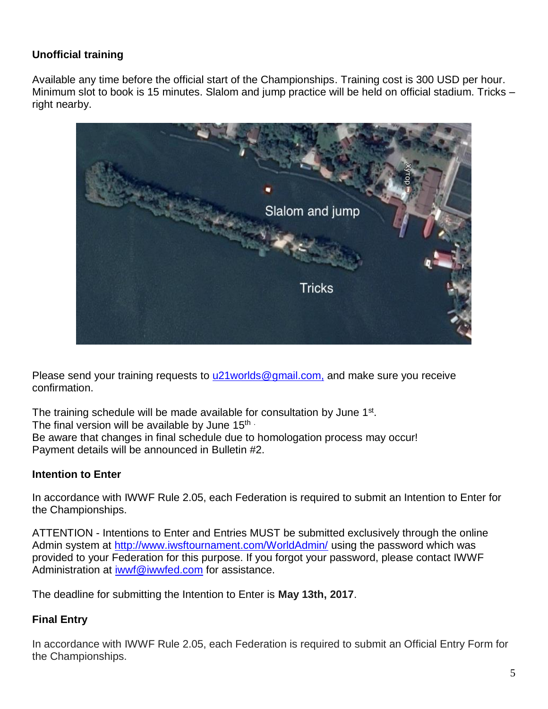# **Unofficial training**

Available any time before the official start of the Championships. Training cost is 300 USD per hour. Minimum slot to book is 15 minutes. Slalom and jump practice will be held on official stadium. Tricks – right nearby.



Please send your training requests to u21 worlds@gmail.com, and make sure you receive confirmation.

The training schedule will be made available for consultation by June 1<sup>st</sup>. The final version will be available by June  $15<sup>th</sup>$ . Be aware that changes in final schedule due to homologation process may occur! Payment details will be announced in Bulletin #2.

### **Intention to Enter**

In accordance with IWWF Rule 2.05, each Federation is required to submit an Intention to Enter for the Championships.

ATTENTION - Intentions to Enter and Entries MUST be submitted exclusively through the online Admin system at<http://www.iwsftournament.com/WorldAdmin/> using the password which was provided to your Federation for this purpose. If you forgot your password, please contact IWWF Administration at [iwwf@iwwfed.com](mailto:iwwf@iwwfed.com) for assistance.

The deadline for submitting the Intention to Enter is **May 13th, 2017**.

## **Final Entry**

In accordance with IWWF Rule 2.05, each Federation is required to submit an Official Entry Form for the Championships.